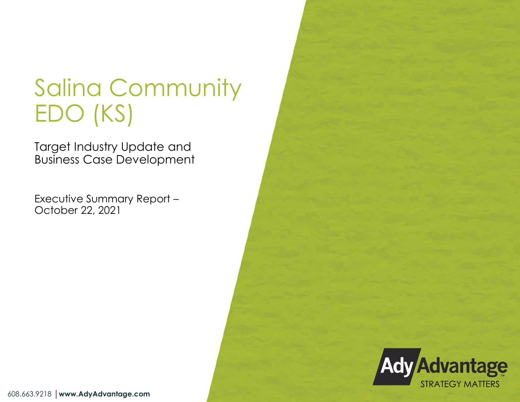# Salina Community EDO (KS)

Target Industry Update and Business Case Development

Executive Summary Report – October 22, 2021



608.663.9218 │**www.AdyAdvantage.com**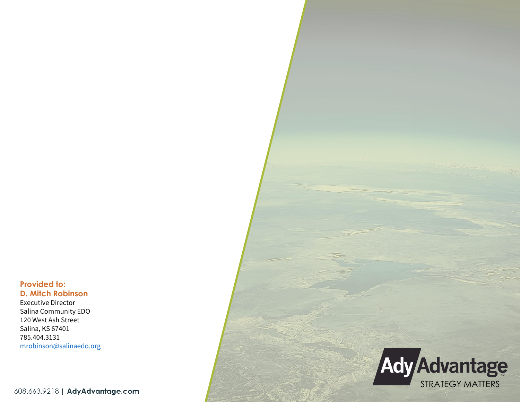**Provided to: D. Mitch Robinson**

Executive Director Salina Community EDO 120 West Ash Street Salina, KS 67401 785.404.3131 [mrobinson@salinaedo.org](mailto:mrobinson@salinaedo.org)

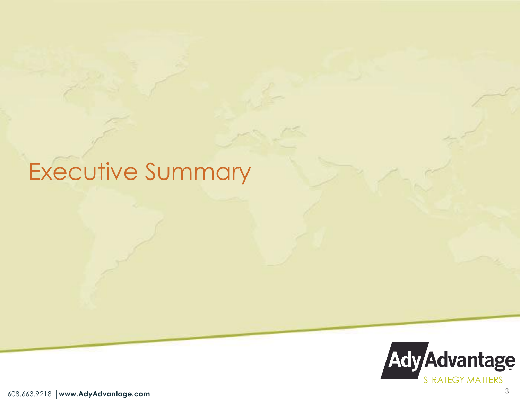# Executive Summary

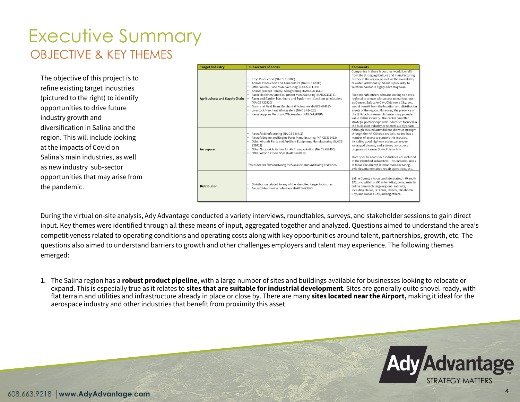#### Executive Summary OBJECTIVE & KEY THEMES

The objective of this project is to refine existing target industries (pictured to the right) to identify opportunities to drive future industry growth and diversification in Salina and the region. This will include looking at the impacts of Covid on Salina's main industries, as well as new industry sub-sector opportunities that may arise from the pandemic.

| <b>Target Industry</b>               | <b>Subsectors of Focus</b>                                                                                                                                                                                                                                                                                                                                                                                                                                                                                   | <b>Comments</b>                                                                                                                                                                                                                                                                                                                                                                                                                                                                                                                                                                                                                                                                                                 |
|--------------------------------------|--------------------------------------------------------------------------------------------------------------------------------------------------------------------------------------------------------------------------------------------------------------------------------------------------------------------------------------------------------------------------------------------------------------------------------------------------------------------------------------------------------------|-----------------------------------------------------------------------------------------------------------------------------------------------------------------------------------------------------------------------------------------------------------------------------------------------------------------------------------------------------------------------------------------------------------------------------------------------------------------------------------------------------------------------------------------------------------------------------------------------------------------------------------------------------------------------------------------------------------------|
| <b>Agribusiness and Supply Chain</b> | Crop Production (NAICS 111000)<br>Animal Production and Aquaculture (NAICS 112000)<br>Other Animal Food Manufacturing (NAICS 311119)<br>Animal (except Poultry) Slaughtering (NAICS 311611)<br>Farm Machinery and Equipment Manufacturing (NAICS 333111)<br>Farm and Garden Machinery and Equipment Merchant Wholesalers<br>(NAICS 423820)<br>Grain and Field Bean Merchant Wholesalers (NAICS 424510)<br>Livestock Merchant Wholesalers (NAICS 424520)<br>Farm Supplies Merchant Wholesalers (NAICS 424910) | Companies in these industries would benefit<br>from the strong agriculture and manufacturing<br>history in the region, as well as the availability<br>of water. Additionally, Salina's proximity to<br>Western Kansas is highly advantageous.<br>Food manufacturers who are looking to have a<br>regional presence with access to markets, such<br>as Denver, Salt Lake City, Oklahoma City, etc.<br>would benefit from the location and distribution<br>assets of the region. Moreover, the presence of<br>the Bulk Solids Research Center may provide<br>value to this industry. The center can offer<br>strategic partnerships with industries focused i<br>the bulk solid industry or related supply chain. |
| Aerospace                            | Aircraft Manufacturing (NAICS 336411)*<br>Aircraft Engine and Engine Parts Manufacturing (NAICS 336412)<br>Other Aircraft Parts and Auxiliary Equipment Manufacturing (NAICS<br>336413)<br>Other Support Activities for Air Transportation (NAICS 488190)<br>Other Airport Operations (NAICS 488119)<br>*Note: Aircraft Manufacturing includes the manufacturing of drones.                                                                                                                                  | Although this industry did not show up strongly<br>through the NAICS code analysis, Salina has a<br>number of assets to support this industry,<br>including good highway access, an under-<br>leveraged airport, and a strong aerospace<br>program at Kansas State Polytechnic.<br>More specific aerospace industries are included<br>in the identified subsectors. This includes areas<br>of focus like aircraft interior manufacturing,<br>avionics, maintenance repair operations, etc.                                                                                                                                                                                                                      |
| <b>Distribution</b>                  | Distribution related to any of the identified target industries<br>Aircraft Merchant Wholesalers (NAICS 423860)                                                                                                                                                                                                                                                                                                                                                                                              | Saline County sits on two Interstates, I-70 and I-<br>135, and within a 500 mile radius, companies in<br>Salina can reach large regional markets,<br>including Dallas, St. Louis, Denver, Oklahoma<br>City, and Kansas City, among others.                                                                                                                                                                                                                                                                                                                                                                                                                                                                      |

During the virtual on-site analysis, Ady Advantage conducted a variety interviews, roundtables, surveys, and stakeholder sessions to gain direct input. Key themes were identified through all these means of input, aggregated together and analyzed. Questions aimed to understand the area's competitiveness related to operating conditions and operating costs along with key opportunities around talent, partnerships, growth, etc. The questions also aimed to understand barriers to growth and other challenges employers and talent may experience. The following themes emerged:

1. The Salina region has a **robust product pipeline**, with a large number of sites and buildings available for businesses looking to relocate or expand. This is especially true as it relates to **sites that are suitable for industrial development**. Sites are generally quite shovel-ready, with flat terrain and utilities and infrastructure already in place or close by. There are many **sites located near the Airport,** making it ideal for the aerospace industry and other industries that benefit from proximity this asset.

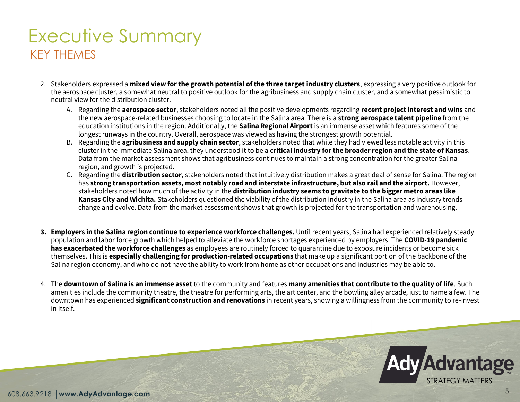# Executive Summary KEY THEMES

- 2. Stakeholders expressed a **mixed view for the growth potential of the three target industry clusters**, expressing a very positive outlook for the aerospace cluster, a somewhat neutral to positive outlook for the agribusiness and supply chain cluster, and a somewhat pessimistic to neutral view for the distribution cluster.
	- A. Regarding the **aerospace sector**, stakeholders noted all the positive developments regarding **recent project interest and wins** and the new aerospace-related businesses choosing to locate in the Salina area. There is a **strong aerospace talent pipeline** from the education institutions in the region. Additionally, the **Salina Regional Airport** is an immense asset which features some of the longest runways in the country. Overall, aerospace was viewed as having the strongest growth potential.
	- B. Regarding the **agribusiness and supply chain sector**, stakeholders noted that while they had viewed less notable activity in this cluster in the immediate Salina area, they understood it to be a **critical industry for the broader region and the state of Kansas**. Data from the market assessment shows that agribusiness continues to maintain a strong concentration for the greater Salina region, and growth is projected.
	- C. Regarding the **distribution sector**, stakeholders noted that intuitively distribution makes a great deal of sense for Salina. The region has **strong transportation assets, most notably road and interstate infrastructure, but also rail and the airport.** However, stakeholders noted how much of the activity in the **distribution industry seems to gravitate to the bigger metro areas like Kansas City and Wichita.** Stakeholders questioned the viability of the distribution industry in the Salina area as industry trends change and evolve. Data from the market assessment shows that growth is projected for the transportation and warehousing.
- **3. Employers in the Salina region continue to experience workforce challenges.** Until recent years, Salina had experienced relatively steady population and labor force growth which helped to alleviate the workforce shortages experienced by employers. The **COVID-19 pandemic has exacerbated the workforce challenges** as employees are routinely forced to quarantine due to exposure incidents or become sick themselves. This is **especially challenging for production-related occupations** that make up a significant portion of the backbone of the Salina region economy, and who do not have the ability to work from home as other occupations and industries may be able to.
- 4. The **downtown of Salina is an immense asset**to the community and features **many amenities that contribute to the quality of life**. Such amenities include the community theatre, the theatre for performing arts, the art center, and the bowling alley arcade, just to name a few. The downtown has experienced **significant construction and renovations** in recent years, showing a willingness from the community to re-invest in itself.

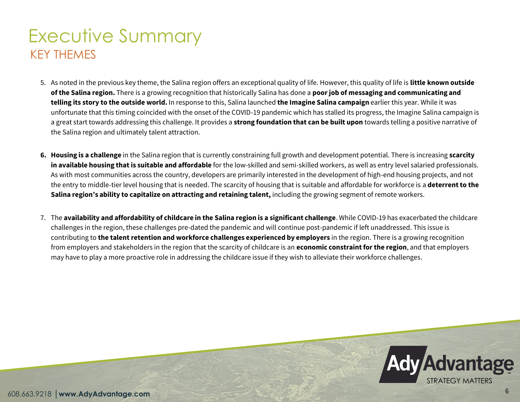# Executive Summary KEY THEMES

- 5. As noted in the previous key theme, the Salina region offers an exceptional quality of life. However, this quality of life is **little known outside of the Salina region.** There is a growing recognition that historically Salina has done a **poor job of messaging and communicating and telling its story to the outside world.** In response to this, Salina launched **the Imagine Salina campaign** earlier this year. While it was unfortunate that this timing coincided with the onset of the COVID-19 pandemic which has stalled its progress, the Imagine Salina campaign is a great start towards addressing this challenge. It provides a **strong foundation that can be built upon** towards telling a positive narrative of the Salina region and ultimately talent attraction.
- **6. Housing is a challenge** in the Salina region that is currently constraining full growth and development potential. There is increasing **scarcity in available housing that is suitable and affordable** for the low-skilled and semi-skilled workers, as well as entry level salaried professionals. As with most communities across the country, developers are primarily interested in the development of high-end housing projects, and not the entry to middle-tier level housing that is needed. The scarcity of housing that is suitable and affordable for workforce is a **deterrent to the Salina region's ability to capitalize on attracting and retaining talent,** including the growing segment of remote workers.
- 7. The **availability and affordability of childcare in the Salina region is a significant challenge**. While COVID-19 has exacerbated the childcare challenges in the region, these challenges pre-dated the pandemic and will continue post-pandemic if left unaddressed. This issue is contributing to **the talent retention and workforce challenges experienced by employers** in the region. There is a growing recognition from employers and stakeholders in the region that the scarcity of childcare is an **economic constraint for the region**, and that employers may have to play a more proactive role in addressing the childcare issue if they wish to alleviate their workforce challenges.

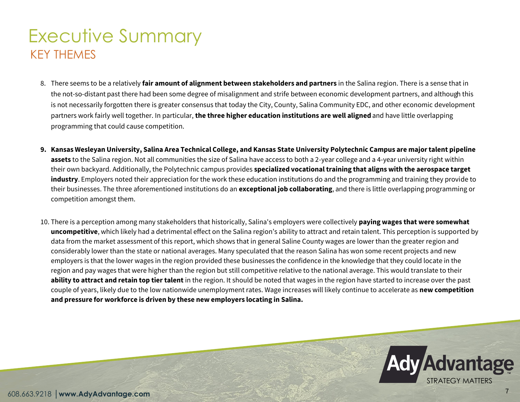## Executive Summary KEY THEMES

- 8. There seems to be a relatively **fair amount of alignment between stakeholders and partners** in the Salina region. There is a sense that in the not-so-distant past there had been some degree of misalignment and strife between economic development partners, and although this is not necessarily forgotten there is greater consensus that today the City, County, Salina Community EDC, and other economic development partners work fairly well together. In particular, **the three higher education institutions are well aligned** and have little overlapping programming that could cause competition.
- **9. Kansas Wesleyan University, Salina Area Technical College, and Kansas State University Polytechnic Campus are major talent pipeline**  assets to the Salina region. Not all communities the size of Salina have access to both a 2-year college and a 4-year university right within their own backyard. Additionally, the Polytechnic campus provides **specialized vocational training that aligns with the aerospace target industry**. Employers noted their appreciation for the work these education institutions do and the programming and training they provide to their businesses. The three aforementioned institutions do an **exceptional job collaborating**, and there is little overlapping programming or competition amongst them.
- 10. There is a perception among many stakeholders that historically, Salina's employers were collectively **paying wages that were somewhat uncompetitive**, which likely had a detrimental effect on the Salina region's ability to attract and retain talent. This perception is supported by data from the market assessment of this report, which shows that in general Saline County wages are lower than the greater region and considerably lower than the state or national averages. Many speculated that the reason Salina has won some recent projects and new employers is that the lower wages in the region provided these businesses the confidence in the knowledge that they could locate in the region and pay wages that were higher than the region but still competitive relative to the national average. This would translate to their **ability to attract and retain top tier talent** in the region. It should be noted that wages in the region have started to increase over the past couple of years, likely due to the low nationwide unemployment rates. Wage increases will likely continue to accelerate as **new competition and pressure for workforce is driven by these new employers locating in Salina.**

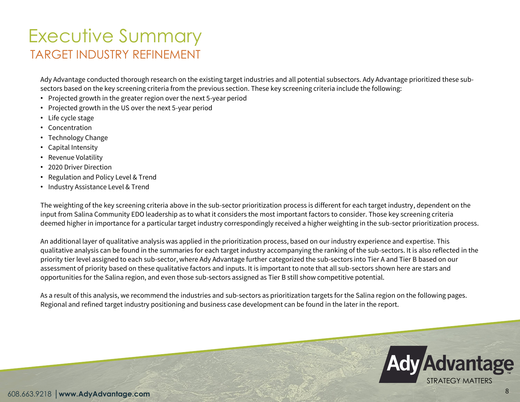### Executive Summary TARGET INDUSTRY REFINEMENT

Ady Advantage conducted thorough research on the existing target industries and all potential subsectors. Ady Advantage prioritized these subsectors based on the key screening criteria from the previous section. These key screening criteria include the following:

- Projected growth in the greater region over the next 5-year period
- Projected growth in the US over the next 5-year period
- Life cycle stage
- Concentration
- Technology Change
- Capital Intensity
- Revenue Volatility
- 2020 Driver Direction
- Regulation and Policy Level & Trend
- Industry Assistance Level & Trend

The weighting of the key screening criteria above in the sub-sector prioritization process is different for each target industry, dependent on the input from Salina Community EDO leadership as to what it considers the most important factors to consider. Those key screening criteria deemed higher in importance for a particular target industry correspondingly received a higher weighting in the sub-sector prioritization process.

An additional layer of qualitative analysis was applied in the prioritization process, based on our industry experience and expertise. This qualitative analysis can be found in the summaries for each target industry accompanying the ranking of the sub-sectors. It is also reflected in the priority tier level assigned to each sub-sector, where Ady Advantage further categorized the sub-sectors into Tier A and Tier B based on our assessment of priority based on these qualitative factors and inputs. It is important to note that all sub-sectors shown here are stars and opportunities for the Salina region, and even those sub-sectors assigned as Tier B still show competitive potential.

As a result of this analysis, we recommend the industries and sub-sectors as prioritization targets for the Salina region on the following pages. Regional and refined target industry positioning and business case development can be found in the later in the report.

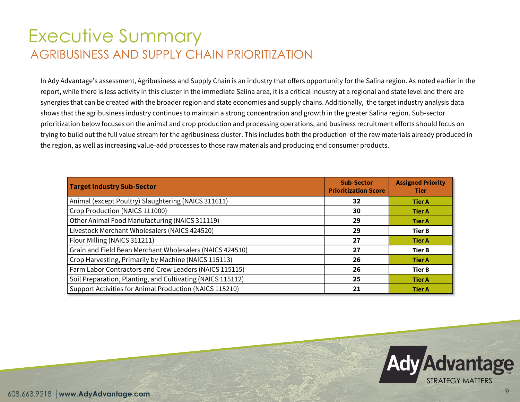#### Executive Summary AGRIBUSINESS AND SUPPLY CHAIN PRIORITIZATION

In Ady Advantage's assessment, Agribusiness and Supply Chain is an industry that offers opportunity for the Salina region. As noted earlier in the report, while there is less activity in this cluster in the immediate Salina area, it is a critical industry at a regional and state level and there are synergies that can be created with the broader region and state economies and supply chains. Additionally, the target industry analysis data shows that the agribusiness industry continues to maintain a strong concentration and growth in the greater Salina region. Sub-sector prioritization below focuses on the animal and crop production and processing operations, and business recruitment efforts should focus on trying to build out the full value stream for the agribusiness cluster. This includes both the production of the raw materials already produced in the region, as well as increasing value-add processes to those raw materials and producing end consumer products.

| <b>Target Industry Sub-Sector</b>                          | <b>Sub-Sector</b><br><b>Prioritization Score</b> | <b>Assigned Priority</b><br><b>Tier</b> |
|------------------------------------------------------------|--------------------------------------------------|-----------------------------------------|
| Animal (except Poultry) Slaughtering (NAICS 311611)        | 32                                               | <b>Tier A</b>                           |
| Crop Production (NAICS 111000)                             | 30                                               | <b>Tier A</b>                           |
| Other Animal Food Manufacturing (NAICS 311119)             | 29                                               | <b>Tier A</b>                           |
| Livestock Merchant Wholesalers (NAICS 424520)              | 29                                               | <b>Tier B</b>                           |
| Flour Milling (NAICS 311211)                               | 27                                               | <b>Tier A</b>                           |
| Grain and Field Bean Merchant Wholesalers (NAICS 424510)   | 27                                               | <b>Tier B</b>                           |
| Crop Harvesting, Primarily by Machine (NAICS 115113)       | 26                                               | <b>Tier A</b>                           |
| Farm Labor Contractors and Crew Leaders (NAICS 115115)     | 26                                               | <b>Tier B</b>                           |
| Soil Preparation, Planting, and Cultivating (NAICS 115112) | 25                                               | <b>Tier A</b>                           |
| Support Activities for Animal Production (NAICS 115210)    | 21                                               | <b>Tier A</b>                           |

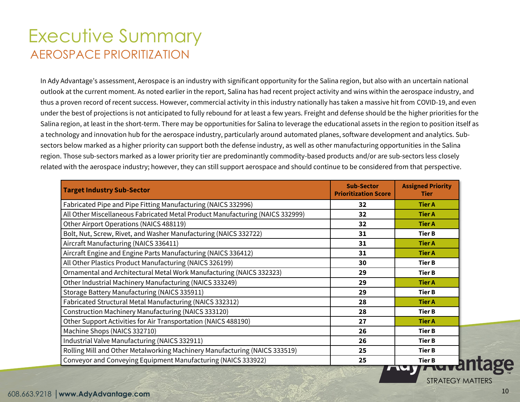#### Executive Summary AEROSPACE PRIORITIZATION

In Ady Advantage's assessment, Aerospace is an industry with significant opportunity for the Salina region, but also with an uncertain national outlook at the current moment. As noted earlier in the report, Salina has had recent project activity and wins within the aerospace industry, and thus a proven record of recent success. However, commercial activity in this industry nationally has taken a massive hit from COVID-19, and even under the best of projections is not anticipated to fully rebound for at least a few years. Freight and defense should be the higher priorities for the Salina region, at least in the short-term. There may be opportunities for Salina to leverage the educational assets in the region to position itself as a technology and innovation hub for the aerospace industry, particularly around automated planes, software development and analytics. Subsectors below marked as a higher priority can support both the defense industry, as well as other manufacturing opportunities in the Salina region. Those sub-sectors marked as a lower priority tier are predominantly commodity-based products and/or are sub-sectors less closely related with the aerospace industry; however, they can still support aerospace and should continue to be considered from that perspective.

| <b>Target Industry Sub-Sector</b>                                             | <b>Sub-Sector</b><br><b>Prioritization Score</b> | <b>Assigned Priority</b><br><b>Tier</b> |
|-------------------------------------------------------------------------------|--------------------------------------------------|-----------------------------------------|
| Fabricated Pipe and Pipe Fitting Manufacturing (NAICS 332996)                 | 32                                               | <b>Tier A</b>                           |
| All Other Miscellaneous Fabricated Metal Product Manufacturing (NAICS 332999) | 32                                               | <b>Tier A</b>                           |
| Other Airport Operations (NAICS 488119)                                       | 32                                               | <b>Tier A</b>                           |
| Bolt, Nut, Screw, Rivet, and Washer Manufacturing (NAICS 332722)              | 31                                               | <b>Tier B</b>                           |
| Aircraft Manufacturing (NAICS 336411)                                         | 31                                               | <b>Tier A</b>                           |
| Aircraft Engine and Engine Parts Manufacturing (NAICS 336412)                 | 31                                               | <b>Tier A</b>                           |
| All Other Plastics Product Manufacturing (NAICS 326199)                       | 30                                               | Tier B                                  |
| Ornamental and Architectural Metal Work Manufacturing (NAICS 332323)          | 29                                               | <b>Tier B</b>                           |
| Other Industrial Machinery Manufacturing (NAICS 333249)                       | 29                                               | <b>Tier A</b>                           |
| Storage Battery Manufacturing (NAICS 335911)                                  | 29                                               | <b>Tier B</b>                           |
| Fabricated Structural Metal Manufacturing (NAICS 332312)                      | 28                                               | <b>Tier A</b>                           |
| Construction Machinery Manufacturing (NAICS 333120)                           | 28                                               | <b>Tier B</b>                           |
| Other Support Activities for Air Transportation (NAICS 488190)                | 27                                               | <b>Tier A</b>                           |
| Machine Shops (NAICS 332710)                                                  | 26                                               | <b>Tier B</b>                           |
| Industrial Valve Manufacturing (NAICS 332911)                                 | 26                                               | <b>Tier B</b>                           |
| Rolling Mill and Other Metalworking Machinery Manufacturing (NAICS 333519)    | 25                                               | <b>Tier B</b>                           |
| Conveyor and Conveying Equipment Manufacturing (NAICS 333922)                 | 25                                               | <b>Tier B</b>                           |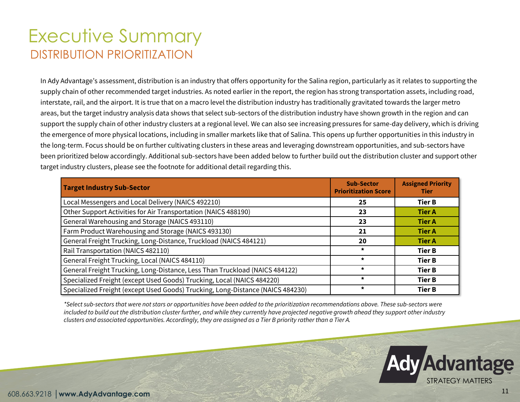### Executive Summary DISTRIBUTION PRIORITIZATION

In Ady Advantage's assessment, distribution is an industry that offers opportunity for the Salina region, particularly as it relates to supporting the supply chain of other recommended target industries. As noted earlier in the report, the region has strong transportation assets, including road, interstate, rail, and the airport. It is true that on a macro level the distribution industry has traditionally gravitated towards the larger metro areas, but the target industry analysis data shows that select sub-sectors of the distribution industry have shown growth in the region and can support the supply chain of other industry clusters at a regional level. We can also see increasing pressures for same-day delivery, which is driving the emergence of more physical locations, including in smaller markets like that of Salina. This opens up further opportunities in this industry in the long-term. Focus should be on further cultivating clusters in these areas and leveraging downstream opportunities, and sub-sectors have been prioritized below accordingly. Additional sub-sectors have been added below to further build out the distribution cluster and support other target industry clusters, please see the footnote for additional detail regarding this.

| <b>Target Industry Sub-Sector</b>                                              | <b>Sub-Sector</b><br><b>Prioritization Score</b> | <b>Assigned Priority</b><br><b>Tier</b> |
|--------------------------------------------------------------------------------|--------------------------------------------------|-----------------------------------------|
| Local Messengers and Local Delivery (NAICS 492210)                             | 25                                               | <b>Tier B</b>                           |
| Other Support Activities for Air Transportation (NAICS 488190)                 | 23                                               | <b>Tier A</b>                           |
| General Warehousing and Storage (NAICS 493110)                                 | 23                                               | <b>Tier A</b>                           |
| Farm Product Warehousing and Storage (NAICS 493130)                            | 21                                               | <b>Tier A</b>                           |
| General Freight Trucking, Long-Distance, Truckload (NAICS 484121)              | 20                                               | <b>Tier A</b>                           |
| Rail Transportation (NAICS 482110)                                             | $\star$                                          | <b>Tier B</b>                           |
| General Freight Trucking, Local (NAICS 484110)                                 | $\star$                                          | <b>Tier B</b>                           |
| General Freight Trucking, Long-Distance, Less Than Truckload (NAICS 484122)    | $\star$                                          | <b>Tier B</b>                           |
| Specialized Freight (except Used Goods) Trucking, Local (NAICS 484220)         | $\star$                                          | <b>Tier B</b>                           |
| Specialized Freight (except Used Goods) Trucking, Long-Distance (NAICS 484230) | $\star$                                          | <b>Tier B</b>                           |

*\*Select sub-sectors that were not stars or opportunities have been added to the prioritization recommendations above. These sub-sectors were included to build out the distribution cluster further, and while they currently have projected negative growth ahead they support other industry clusters and associated opportunities. Accordingly, they are assigned as a Tier B priority rather than a Tier A.*